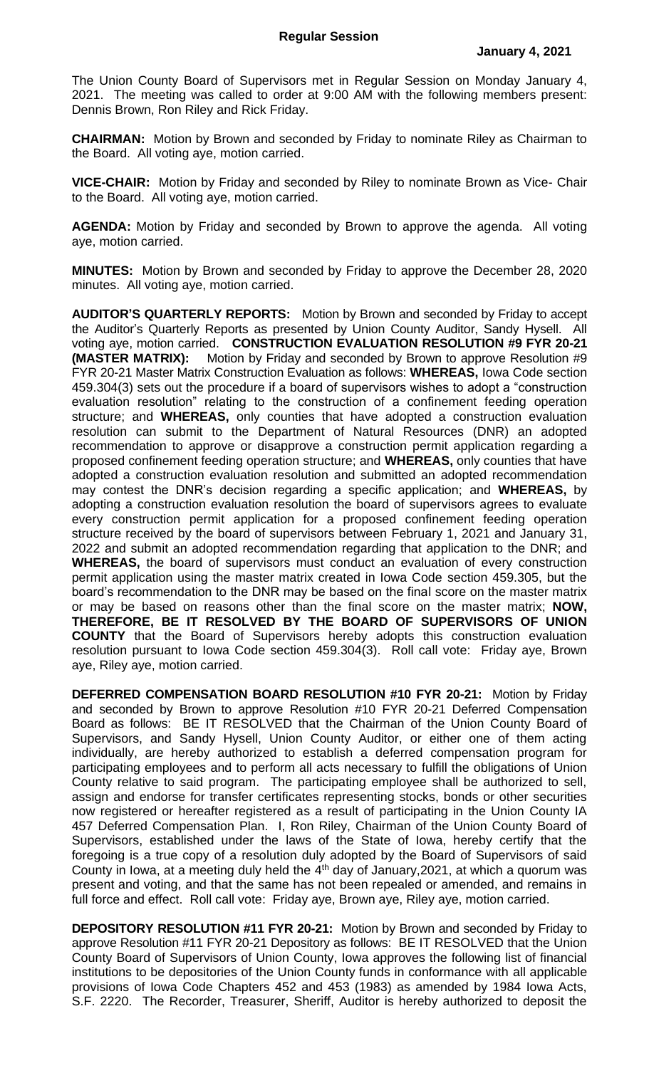The Union County Board of Supervisors met in Regular Session on Monday January 4, 2021. The meeting was called to order at 9:00 AM with the following members present: Dennis Brown, Ron Riley and Rick Friday.

**CHAIRMAN:** Motion by Brown and seconded by Friday to nominate Riley as Chairman to the Board. All voting aye, motion carried.

**VICE-CHAIR:** Motion by Friday and seconded by Riley to nominate Brown as Vice- Chair to the Board. All voting aye, motion carried.

**AGENDA:** Motion by Friday and seconded by Brown to approve the agenda. All voting aye, motion carried.

**MINUTES:** Motion by Brown and seconded by Friday to approve the December 28, 2020 minutes. All voting aye, motion carried.

**AUDITOR'S QUARTERLY REPORTS:** Motion by Brown and seconded by Friday to accept the Auditor's Quarterly Reports as presented by Union County Auditor, Sandy Hysell. All voting aye, motion carried. **CONSTRUCTION EVALUATION RESOLUTION #9 FYR 20-21 (MASTER MATRIX):** Motion by Friday and seconded by Brown to approve Resolution #9 FYR 20-21 Master Matrix Construction Evaluation as follows: **WHEREAS,** Iowa Code section 459.304(3) sets out the procedure if a board of supervisors wishes to adopt a "construction evaluation resolution" relating to the construction of a confinement feeding operation structure; and **WHEREAS,** only counties that have adopted a construction evaluation resolution can submit to the Department of Natural Resources (DNR) an adopted recommendation to approve or disapprove a construction permit application regarding a proposed confinement feeding operation structure; and **WHEREAS,** only counties that have adopted a construction evaluation resolution and submitted an adopted recommendation may contest the DNR's decision regarding a specific application; and **WHEREAS,** by adopting a construction evaluation resolution the board of supervisors agrees to evaluate every construction permit application for a proposed confinement feeding operation structure received by the board of supervisors between February 1, 2021 and January 31, 2022 and submit an adopted recommendation regarding that application to the DNR; and **WHEREAS,** the board of supervisors must conduct an evaluation of every construction permit application using the master matrix created in Iowa Code section 459.305, but the board's recommendation to the DNR may be based on the final score on the master matrix or may be based on reasons other than the final score on the master matrix; **NOW, THEREFORE, BE IT RESOLVED BY THE BOARD OF SUPERVISORS OF UNION COUNTY** that the Board of Supervisors hereby adopts this construction evaluation resolution pursuant to Iowa Code section 459.304(3). Roll call vote: Friday aye, Brown aye, Riley aye, motion carried.

**DEFERRED COMPENSATION BOARD RESOLUTION #10 FYR 20-21:** Motion by Friday and seconded by Brown to approve Resolution #10 FYR 20-21 Deferred Compensation Board as follows: BE IT RESOLVED that the Chairman of the Union County Board of Supervisors, and Sandy Hysell, Union County Auditor, or either one of them acting individually, are hereby authorized to establish a deferred compensation program for participating employees and to perform all acts necessary to fulfill the obligations of Union County relative to said program. The participating employee shall be authorized to sell, assign and endorse for transfer certificates representing stocks, bonds or other securities now registered or hereafter registered as a result of participating in the Union County IA 457 Deferred Compensation Plan. I, Ron Riley, Chairman of the Union County Board of Supervisors, established under the laws of the State of Iowa, hereby certify that the foregoing is a true copy of a resolution duly adopted by the Board of Supervisors of said County in lowa, at a meeting duly held the  $4<sup>th</sup>$  day of January, 2021, at which a quorum was present and voting, and that the same has not been repealed or amended, and remains in full force and effect. Roll call vote: Friday aye, Brown aye, Riley aye, motion carried.

**DEPOSITORY RESOLUTION #11 FYR 20-21:** Motion by Brown and seconded by Friday to approve Resolution #11 FYR 20-21 Depository as follows: BE IT RESOLVED that the Union County Board of Supervisors of Union County, Iowa approves the following list of financial institutions to be depositories of the Union County funds in conformance with all applicable provisions of Iowa Code Chapters 452 and 453 (1983) as amended by 1984 Iowa Acts, S.F. 2220. The Recorder, Treasurer, Sheriff, Auditor is hereby authorized to deposit the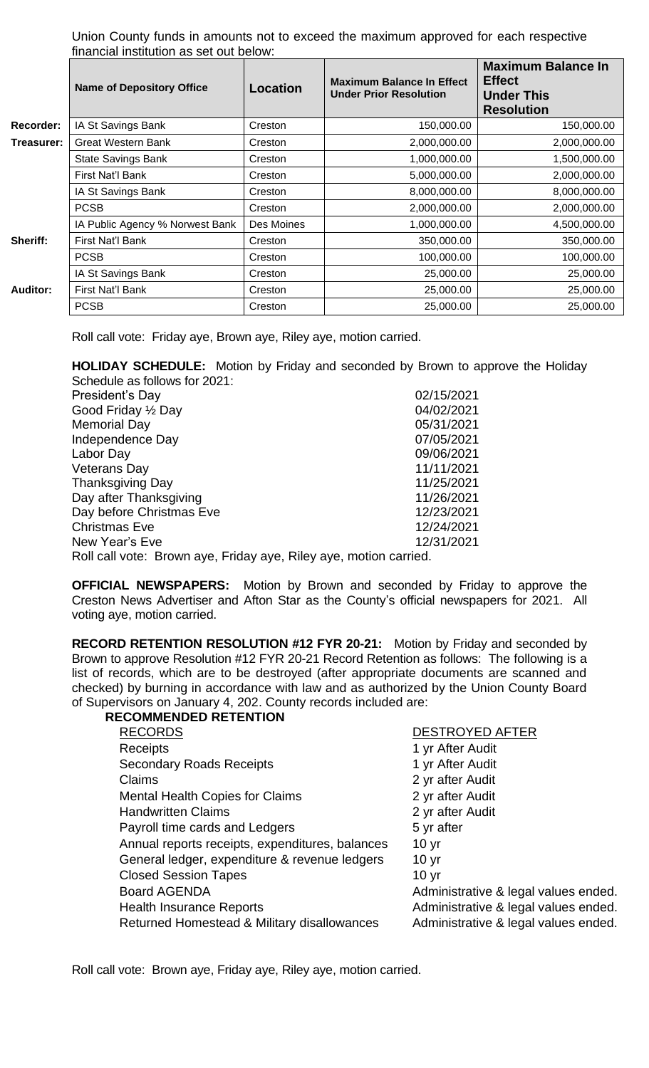Union County funds in amounts not to exceed the maximum approved for each respective financial institution as set out below:

|            | <b>Name of Depository Office</b> | <b>Location</b> | <b>Maximum Balance In Effect</b><br><b>Under Prior Resolution</b> | <b>Maximum Balance In</b><br><b>Effect</b><br><b>Under This</b><br><b>Resolution</b> |
|------------|----------------------------------|-----------------|-------------------------------------------------------------------|--------------------------------------------------------------------------------------|
| Recorder:  | IA St Savings Bank               | Creston         | 150,000.00                                                        | 150,000.00                                                                           |
| Treasurer: | <b>Great Western Bank</b>        | Creston         | 2,000,000.00                                                      | 2,000,000.00                                                                         |
|            | State Savings Bank               | Creston         | 1,000,000.00                                                      | 1,500,000.00                                                                         |
|            | First Nat'l Bank                 | Creston         | 5,000,000.00                                                      | 2,000,000.00                                                                         |
|            | IA St Savings Bank               | Creston         | 8,000,000.00                                                      | 8,000,000.00                                                                         |
|            | <b>PCSB</b>                      | Creston         | 2,000,000.00                                                      | 2,000,000.00                                                                         |
|            | IA Public Agency % Norwest Bank  | Des Moines      | 1,000,000.00                                                      | 4,500,000.00                                                                         |
| Sheriff:   | First Nat'l Bank                 | Creston         | 350,000.00                                                        | 350,000.00                                                                           |
|            | <b>PCSB</b>                      | Creston         | 100,000.00                                                        | 100,000.00                                                                           |
|            | IA St Savings Bank               | Creston         | 25,000.00                                                         | 25,000.00                                                                            |
| Auditor:   | First Nat'l Bank                 | Creston         | 25,000.00                                                         | 25,000.00                                                                            |
|            | <b>PCSB</b>                      | Creston         | 25,000.00                                                         | 25,000.00                                                                            |

Roll call vote: Friday aye, Brown aye, Riley aye, motion carried.

**HOLIDAY SCHEDULE:** Motion by Friday and seconded by Brown to approve the Holiday Schedule as follows for 2021:

| President's Day                                                   | 02/15/2021 |  |  |  |
|-------------------------------------------------------------------|------------|--|--|--|
| Good Friday 1/2 Day                                               | 04/02/2021 |  |  |  |
| <b>Memorial Day</b>                                               | 05/31/2021 |  |  |  |
| Independence Day                                                  | 07/05/2021 |  |  |  |
| Labor Day                                                         | 09/06/2021 |  |  |  |
| <b>Veterans Day</b>                                               | 11/11/2021 |  |  |  |
| <b>Thanksgiving Day</b>                                           | 11/25/2021 |  |  |  |
| Day after Thanksgiving                                            | 11/26/2021 |  |  |  |
| Day before Christmas Eve                                          | 12/23/2021 |  |  |  |
| <b>Christmas Eve</b>                                              | 12/24/2021 |  |  |  |
| New Year's Eve                                                    | 12/31/2021 |  |  |  |
| Roll call vote: Brown aye, Friday aye, Riley aye, motion carried. |            |  |  |  |

**OFFICIAL NEWSPAPERS:** Motion by Brown and seconded by Friday to approve the Creston News Advertiser and Afton Star as the County's official newspapers for 2021. All voting aye, motion carried.

**RECORD RETENTION RESOLUTION #12 FYR 20-21:** Motion by Friday and seconded by Brown to approve Resolution #12 FYR 20-21 Record Retention as follows: The following is a list of records, which are to be destroyed (after appropriate documents are scanned and checked) by burning in accordance with law and as authorized by the Union County Board of Supervisors on January 4, 202. County records included are:

| <b>RECOMMENDED RETENTION</b> |  |
|------------------------------|--|

| <b>RECORDS</b>                                  | <b>DESTROYED AFTER</b>               |
|-------------------------------------------------|--------------------------------------|
| <b>Receipts</b>                                 | 1 yr After Audit                     |
| <b>Secondary Roads Receipts</b>                 | 1 yr After Audit                     |
| Claims                                          | 2 yr after Audit                     |
| <b>Mental Health Copies for Claims</b>          | 2 yr after Audit                     |
| <b>Handwritten Claims</b>                       | 2 yr after Audit                     |
| Payroll time cards and Ledgers                  | 5 yr after                           |
| Annual reports receipts, expenditures, balances | 10 <sub>yr</sub>                     |
| General ledger, expenditure & revenue ledgers   | 10 <sub>yr</sub>                     |
| <b>Closed Session Tapes</b>                     | 10 <sub>yr</sub>                     |
| <b>Board AGENDA</b>                             | Administrative & legal values ended. |
| <b>Health Insurance Reports</b>                 | Administrative & legal values ended. |
| Returned Homestead & Military disallowances     | Administrative & legal values ended. |

Roll call vote: Brown aye, Friday aye, Riley aye, motion carried.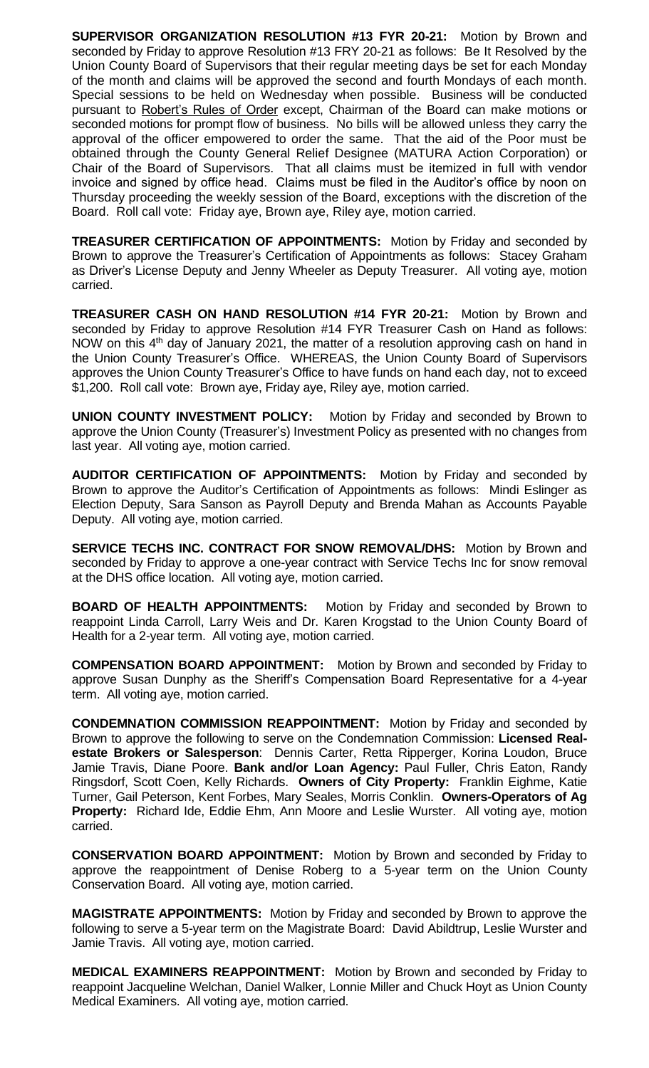**SUPERVISOR ORGANIZATION RESOLUTION #13 FYR 20-21:** Motion by Brown and seconded by Friday to approve Resolution #13 FRY 20-21 as follows: Be It Resolved by the Union County Board of Supervisors that their regular meeting days be set for each Monday of the month and claims will be approved the second and fourth Mondays of each month. Special sessions to be held on Wednesday when possible. Business will be conducted pursuant to Robert's Rules of Order except, Chairman of the Board can make motions or seconded motions for prompt flow of business. No bills will be allowed unless they carry the approval of the officer empowered to order the same. That the aid of the Poor must be obtained through the County General Relief Designee (MATURA Action Corporation) or Chair of the Board of Supervisors. That all claims must be itemized in full with vendor invoice and signed by office head. Claims must be filed in the Auditor's office by noon on Thursday proceeding the weekly session of the Board, exceptions with the discretion of the Board. Roll call vote: Friday aye, Brown aye, Riley aye, motion carried.

**TREASURER CERTIFICATION OF APPOINTMENTS:** Motion by Friday and seconded by Brown to approve the Treasurer's Certification of Appointments as follows: Stacey Graham as Driver's License Deputy and Jenny Wheeler as Deputy Treasurer. All voting aye, motion carried.

**TREASURER CASH ON HAND RESOLUTION #14 FYR 20-21:** Motion by Brown and seconded by Friday to approve Resolution #14 FYR Treasurer Cash on Hand as follows: NOW on this  $4<sup>th</sup>$  day of January 2021, the matter of a resolution approving cash on hand in the Union County Treasurer's Office. WHEREAS, the Union County Board of Supervisors approves the Union County Treasurer's Office to have funds on hand each day, not to exceed \$1,200. Roll call vote: Brown aye, Friday aye, Riley aye, motion carried.

**UNION COUNTY INVESTMENT POLICY:** Motion by Friday and seconded by Brown to approve the Union County (Treasurer's) Investment Policy as presented with no changes from last year. All voting aye, motion carried.

**AUDITOR CERTIFICATION OF APPOINTMENTS:** Motion by Friday and seconded by Brown to approve the Auditor's Certification of Appointments as follows: Mindi Eslinger as Election Deputy, Sara Sanson as Payroll Deputy and Brenda Mahan as Accounts Payable Deputy. All voting aye, motion carried.

**SERVICE TECHS INC. CONTRACT FOR SNOW REMOVAL/DHS:** Motion by Brown and seconded by Friday to approve a one-year contract with Service Techs Inc for snow removal at the DHS office location. All voting aye, motion carried.

**BOARD OF HEALTH APPOINTMENTS:** Motion by Friday and seconded by Brown to reappoint Linda Carroll, Larry Weis and Dr. Karen Krogstad to the Union County Board of Health for a 2-year term. All voting aye, motion carried.

**COMPENSATION BOARD APPOINTMENT:** Motion by Brown and seconded by Friday to approve Susan Dunphy as the Sheriff's Compensation Board Representative for a 4-year term. All voting aye, motion carried.

**CONDEMNATION COMMISSION REAPPOINTMENT:** Motion by Friday and seconded by Brown to approve the following to serve on the Condemnation Commission: **Licensed Realestate Brokers or Salesperson**: Dennis Carter, Retta Ripperger, Korina Loudon, Bruce Jamie Travis, Diane Poore. **Bank and/or Loan Agency:** Paul Fuller, Chris Eaton, Randy Ringsdorf, Scott Coen, Kelly Richards. **Owners of City Property:** Franklin Eighme, Katie Turner, Gail Peterson, Kent Forbes, Mary Seales, Morris Conklin. **Owners-Operators of Ag Property:** Richard Ide, Eddie Ehm, Ann Moore and Leslie Wurster. All voting aye, motion carried.

**CONSERVATION BOARD APPOINTMENT:** Motion by Brown and seconded by Friday to approve the reappointment of Denise Roberg to a 5-year term on the Union County Conservation Board. All voting aye, motion carried.

**MAGISTRATE APPOINTMENTS:** Motion by Friday and seconded by Brown to approve the following to serve a 5-year term on the Magistrate Board: David Abildtrup, Leslie Wurster and Jamie Travis. All voting aye, motion carried.

**MEDICAL EXAMINERS REAPPOINTMENT:** Motion by Brown and seconded by Friday to reappoint Jacqueline Welchan, Daniel Walker, Lonnie Miller and Chuck Hoyt as Union County Medical Examiners. All voting aye, motion carried.